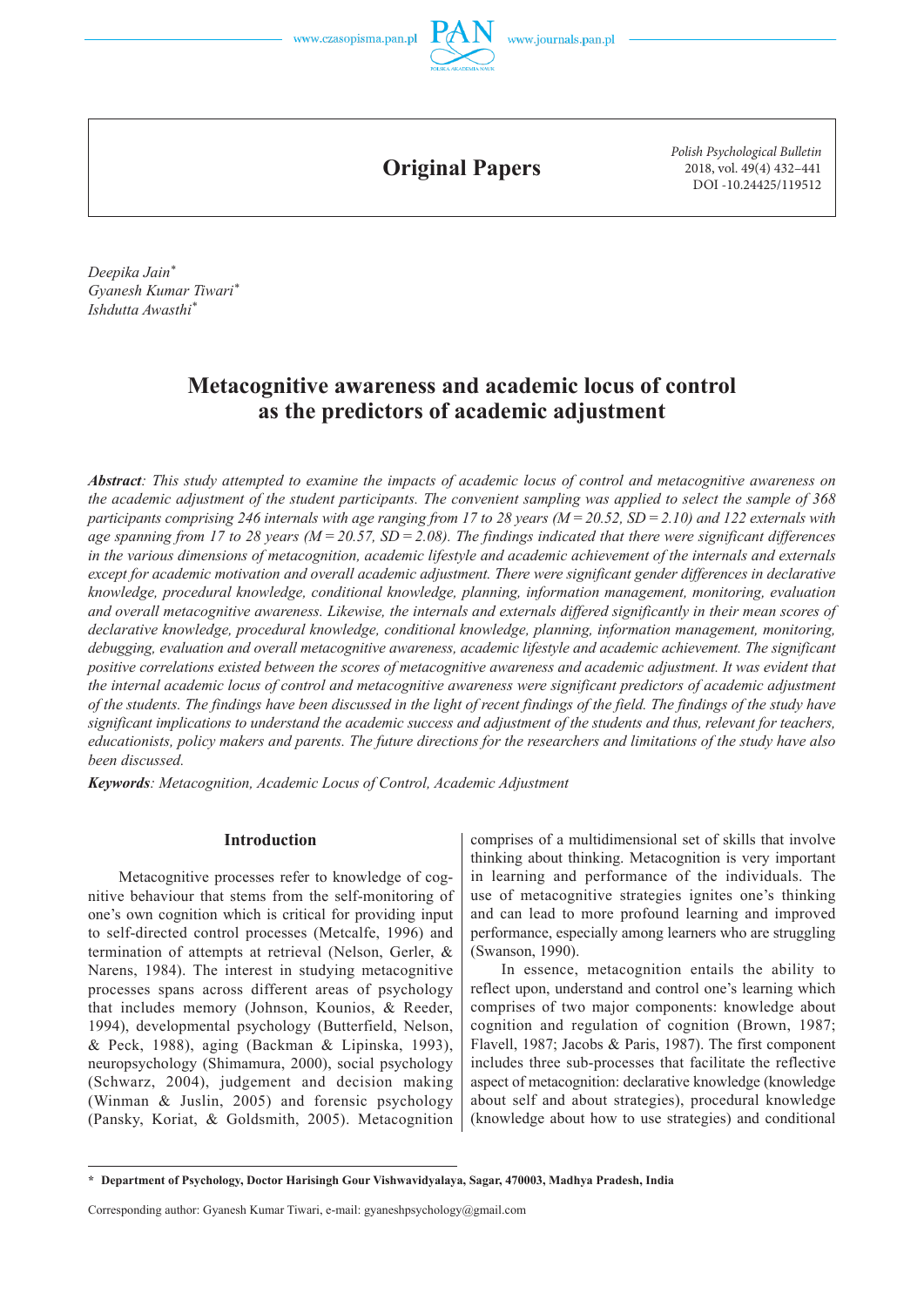

**Original Papers**

*Polish Psychological Bulletin* 2018, vol. 49(4) 432–441 DOI -10.24425/119512

*Deepika Jain\* Gyanesh Kumar Tiwari\* Ishdutta Awasthi\**

# **Metacognitive awareness and academic locus of control as the predictors of academic adjustment**

*Abstract: This study attempted to examine the impacts of academic locus of control and metacognitive awareness on the academic adjustment of the student participants. The convenient sampling was applied to select the sample of 368 participants comprising 246 internals with age ranging from 17 to 28 years (M = 20.52, SD = 2.10) and 122 externals with age spanning from 17 to 28 years (* $M = 20.57$ *, SD = 2.08). The findings indicated that there were significant differences in the various dimensions of metacognition, academic lifestyle and academic achievement of the internals and externals except for academic motivation and overall academic adjustment. There were significant gender differences in declarative knowledge, procedural knowledge, conditional knowledge, planning, information management, monitoring, evaluation and overall metacognitive awareness. Likewise, the internals and externals differed significantly in their mean scores of declarative knowledge, procedural knowledge, conditional knowledge, planning, information management, monitoring, debugging, evaluation and overall metacognitive awareness, academic lifestyle and academic achievement. The significant positive correlations existed between the scores of metacognitive awareness and academic adjustment. It was evident that the internal academic locus of control and metacognitive awareness were significant predictors of academic adjustment of the students. The findings have been discussed in the light of recent findings of the field. The findings of the study have significant implications to understand the academic success and adjustment of the students and thus, relevant for teachers, educationists, policy makers and parents. The future directions for the researchers and limitations of the study have also been discussed.*

*Keywords: Metacognition, Academic Locus of Control, Academic Adjustment*

# **Introduction**

Metacognitive processes refer to knowledge of cognitive behaviour that stems from the self-monitoring of one's own cognition which is critical for providing input to self-directed control processes (Metcalfe, 1996) and termination of attempts at retrieval (Nelson, Gerler, & Narens, 1984). The interest in studying metacognitive processes spans across different areas of psychology that includes memory (Johnson, Kounios, & Reeder, 1994), developmental psychology (Butterfield, Nelson, & Peck, 1988), aging (Backman & Lipinska, 1993), neuropsychology (Shimamura, 2000), social psychology (Schwarz, 2004), judgement and decision making (Winman & Juslin, 2005) and forensic psychology (Pansky, Koriat, & Goldsmith, 2005). Metacognition comprises of a multidimensional set of skills that involve thinking about thinking. Metacognition is very important in learning and performance of the individuals. The use of metacognitive strategies ignites one's thinking and can lead to more profound learning and improved performance, especially among learners who are struggling (Swanson, 1990).

In essence, metacognition entails the ability to reflect upon, understand and control one's learning which comprises of two major components: knowledge about cognition and regulation of cognition (Brown, 1987; Flavell, 1987; Jacobs & Paris, 1987). The first component includes three sub-processes that facilitate the reflective aspect of metacognition: declarative knowledge (knowledge about self and about strategies), procedural knowledge (knowledge about how to use strategies) and conditional

**<sup>\*</sup> Department of Psychology, Doctor Harisingh Gour Vishwavidyalaya, Sagar, 470003, Madhya Pradesh, India**

Corresponding author: Gyanesh Kumar Tiwari, e-mail: gyaneshpsychology@gmail.com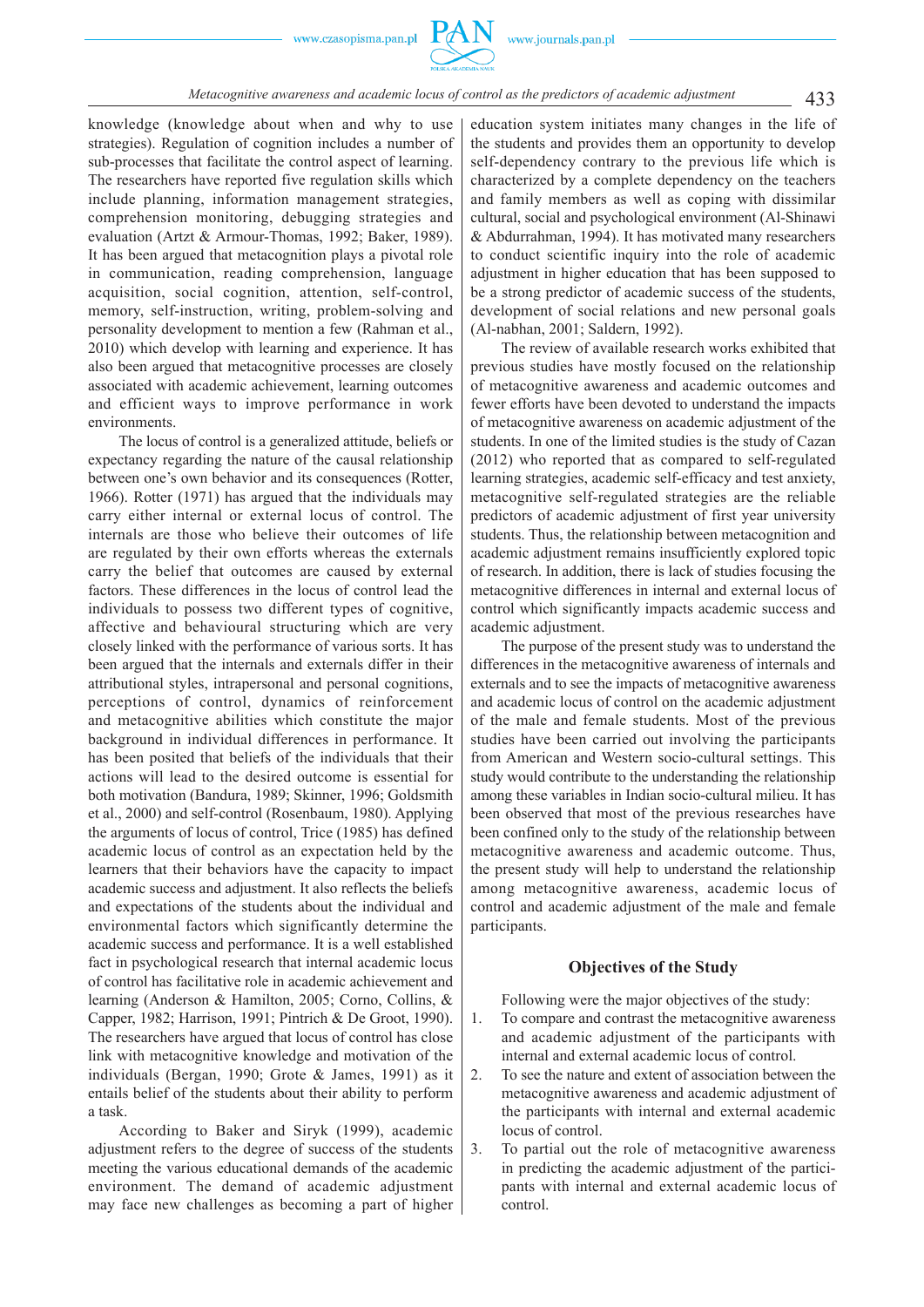

knowledge (knowledge about when and why to use strategies). Regulation of cognition includes a number of sub-processes that facilitate the control aspect of learning. The researchers have reported five regulation skills which include planning, information management strategies, comprehension monitoring, debugging strategies and evaluation (Artzt & Armour-Thomas, 1992; Baker, 1989). It has been argued that metacognition plays a pivotal role in communication, reading comprehension, language acquisition, social cognition, attention, self-control, memory, self-instruction, writing, problem-solving and personality development to mention a few (Rahman et al., 2010) which develop with learning and experience. It has also been argued that metacognitive processes are closely associated with academic achievement, learning outcomes and efficient ways to improve performance in work environments.

The locus of control is a generalized attitude, beliefs or expectancy regarding the nature of the causal relationship between one's own behavior and its consequences (Rotter, 1966). Rotter (1971) has argued that the individuals may carry either internal or external locus of control. The internals are those who believe their outcomes of life are regulated by their own efforts whereas the externals carry the belief that outcomes are caused by external factors. These differences in the locus of control lead the individuals to possess two different types of cognitive, affective and behavioural structuring which are very closely linked with the performance of various sorts. It has been argued that the internals and externals differ in their attributional styles, intrapersonal and personal cognitions, perceptions of control, dynamics of reinforcement and metacognitive abilities which constitute the major background in individual differences in performance. It has been posited that beliefs of the individuals that their actions will lead to the desired outcome is essential for both motivation (Bandura, 1989; Skinner, 1996; Goldsmith et al., 2000) and self-control (Rosenbaum, 1980). Applying the arguments of locus of control, Trice (1985) has defined academic locus of control as an expectation held by the learners that their behaviors have the capacity to impact academic success and adjustment. It also reflects the beliefs and expectations of the students about the individual and environmental factors which significantly determine the academic success and performance. It is a well established fact in psychological research that internal academic locus of control has facilitative role in academic achievement and learning (Anderson & Hamilton, 2005; Corno, Collins, & Capper, 1982; Harrison, 1991; Pintrich & De Groot, 1990). The researchers have argued that locus of control has close link with metacognitive knowledge and motivation of the individuals (Bergan, 1990; Grote & James, 1991) as it entails belief of the students about their ability to perform a task.

According to Baker and Siryk (1999), academic adjustment refers to the degree of success of the students meeting the various educational demands of the academic environment. The demand of academic adjustment may face new challenges as becoming a part of higher

education system initiates many changes in the life of the students and provides them an opportunity to develop self-dependency contrary to the previous life which is characterized by a complete dependency on the teachers and family members as well as coping with dissimilar cultural, social and psychological environment (Al-Shinawi & Abdurrahman, 1994). It has motivated many researchers to conduct scientific inquiry into the role of academic adjustment in higher education that has been supposed to be a strong predictor of academic success of the students, development of social relations and new personal goals (Al-nabhan, 2001; Saldern, 1992).

The review of available research works exhibited that previous studies have mostly focused on the relationship of metacognitive awareness and academic outcomes and fewer efforts have been devoted to understand the impacts of metacognitive awareness on academic adjustment of the students. In one of the limited studies is the study of Cazan (2012) who reported that as compared to self-regulated learning strategies, academic self-efficacy and test anxiety, metacognitive self-regulated strategies are the reliable predictors of academic adjustment of first year university students. Thus, the relationship between metacognition and academic adjustment remains insufficiently explored topic of research. In addition, there is lack of studies focusing the metacognitive differences in internal and external locus of control which significantly impacts academic success and academic adjustment.

The purpose of the present study was to understand the differences in the metacognitive awareness of internals and externals and to see the impacts of metacognitive awareness and academic locus of control on the academic adjustment of the male and female students. Most of the previous studies have been carried out involving the participants from American and Western socio-cultural settings. This study would contribute to the understanding the relationship among these variables in Indian socio-cultural milieu. It has been observed that most of the previous researches have been confined only to the study of the relationship between metacognitive awareness and academic outcome. Thus, the present study will help to understand the relationship among metacognitive awareness, academic locus of control and academic adjustment of the male and female participants.

# **Objectives of the Study**

Following were the major objectives of the study:

- 1. To compare and contrast the metacognitive awareness and academic adjustment of the participants with internal and external academic locus of control.
- 2. To see the nature and extent of association between the metacognitive awareness and academic adjustment of the participants with internal and external academic locus of control.
- 3. To partial out the role of metacognitive awareness in predicting the academic adjustment of the participants with internal and external academic locus of control.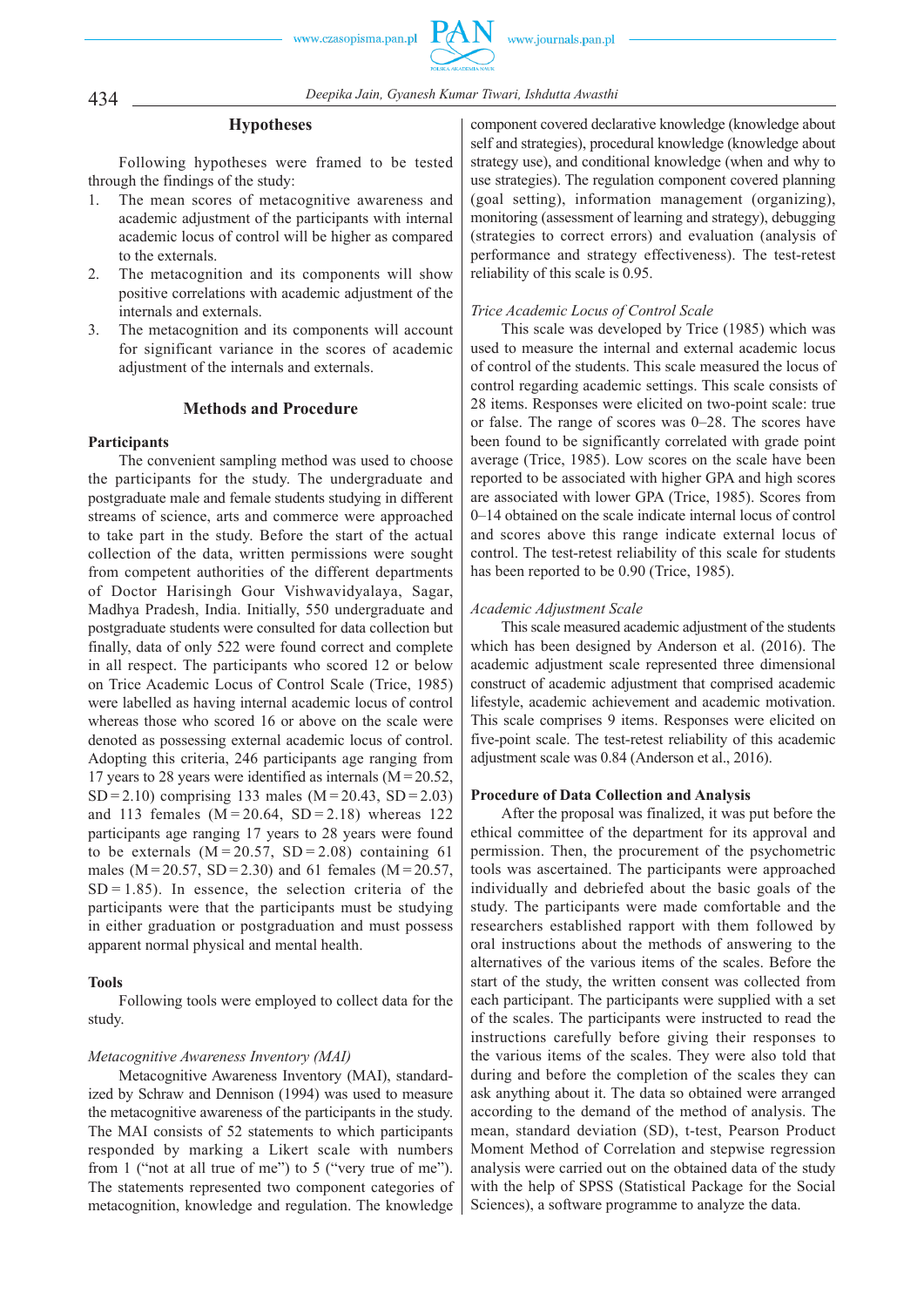

# 434 *Deepika Jain, Gyanesh Kumar Tiwari, Ishdutta Awasthi*

#### **Hypotheses**

Following hypotheses were framed to be tested through the findings of the study:

- 1. The mean scores of metacognitive awareness and academic adjustment of the participants with internal academic locus of control will be higher as compared to the externals.
- 2. The metacognition and its components will show positive correlations with academic adjustment of the internals and externals.
- 3. The metacognition and its components will account for significant variance in the scores of academic adjustment of the internals and externals.

### **Methods and Procedure**

# **Participants**

The convenient sampling method was used to choose the participants for the study. The undergraduate and postgraduate male and female students studying in different streams of science, arts and commerce were approached to take part in the study. Before the start of the actual collection of the data, written permissions were sought from competent authorities of the different departments of Doctor Harisingh Gour Vishwavidyalaya, Sagar, Madhya Pradesh, India. Initially, 550 undergraduate and postgraduate students were consulted for data collection but finally, data of only 522 were found correct and complete in all respect. The participants who scored 12 or below on Trice Academic Locus of Control Scale (Trice, 1985) were labelled as having internal academic locus of control whereas those who scored 16 or above on the scale were denoted as possessing external academic locus of control. Adopting this criteria, 246 participants age ranging from 17 years to 28 years were identified as internals  $(M = 20.52)$ , SD = 2.10) comprising 133 males (M = 20.43, SD = 2.03) and 113 females  $(M = 20.64, SD = 2.18)$  whereas 122 participants age ranging 17 years to 28 years were found to be externals  $(M = 20.57, SD = 2.08)$  containing 61 males ( $M = 20.57$ ,  $SD = 2.30$ ) and 61 females ( $M = 20.57$ ,  $SD = 1.85$ ). In essence, the selection criteria of the participants were that the participants must be studying in either graduation or postgraduation and must possess apparent normal physical and mental health.

# **Tools**

Following tools were employed to collect data for the study.

#### *Metacognitive Awareness Inventory (MAI)*

Metacognitive Awareness Inventory (MAI), standardized by Schraw and Dennison (1994) was used to measure the metacognitive awareness of the participants in the study. The MAI consists of 52 statements to which participants responded by marking a Likert scale with numbers from 1 ("not at all true of me") to 5 ("very true of me"). The statements represented two component categories of metacognition, knowledge and regulation. The knowledge

component covered declarative knowledge (knowledge about self and strategies), procedural knowledge (knowledge about strategy use), and conditional knowledge (when and why to use strategies). The regulation component covered planning (goal setting), information management (organizing), monitoring (assessment of learning and strategy), debugging (strategies to correct errors) and evaluation (analysis of performance and strategy effectiveness). The test-retest reliability of this scale is 0.95.

# *Trice Academic Locus of Control Scale*

This scale was developed by Trice (1985) which was used to measure the internal and external academic locus of control of the students. This scale measured the locus of control regarding academic settings. This scale consists of 28 items. Responses were elicited on two-point scale: true or false. The range of scores was 0–28. The scores have been found to be significantly correlated with grade point average (Trice, 1985). Low scores on the scale have been reported to be associated with higher GPA and high scores are associated with lower GPA (Trice, 1985). Scores from 0–14 obtained on the scale indicate internal locus of control and scores above this range indicate external locus of control. The test-retest reliability of this scale for students has been reported to be 0.90 (Trice, 1985).

#### *Academic Adjustment Scale*

This scale measured academic adjustment of the students which has been designed by Anderson et al. (2016). The academic adjustment scale represented three dimensional construct of academic adjustment that comprised academic lifestyle, academic achievement and academic motivation. This scale comprises 9 items. Responses were elicited on five-point scale. The test-retest reliability of this academic adjustment scale was 0.84 (Anderson et al., 2016).

#### **Procedure of Data Collection and Analysis**

After the proposal was finalized, it was put before the ethical committee of the department for its approval and permission. Then, the procurement of the psychometric tools was ascertained. The participants were approached individually and debriefed about the basic goals of the study. The participants were made comfortable and the researchers established rapport with them followed by oral instructions about the methods of answering to the alternatives of the various items of the scales. Before the start of the study, the written consent was collected from each participant. The participants were supplied with a set of the scales. The participants were instructed to read the instructions carefully before giving their responses to the various items of the scales. They were also told that during and before the completion of the scales they can ask anything about it. The data so obtained were arranged according to the demand of the method of analysis. The mean, standard deviation (SD), t-test, Pearson Product Moment Method of Correlation and stepwise regression analysis were carried out on the obtained data of the study with the help of SPSS (Statistical Package for the Social Sciences), a software programme to analyze the data.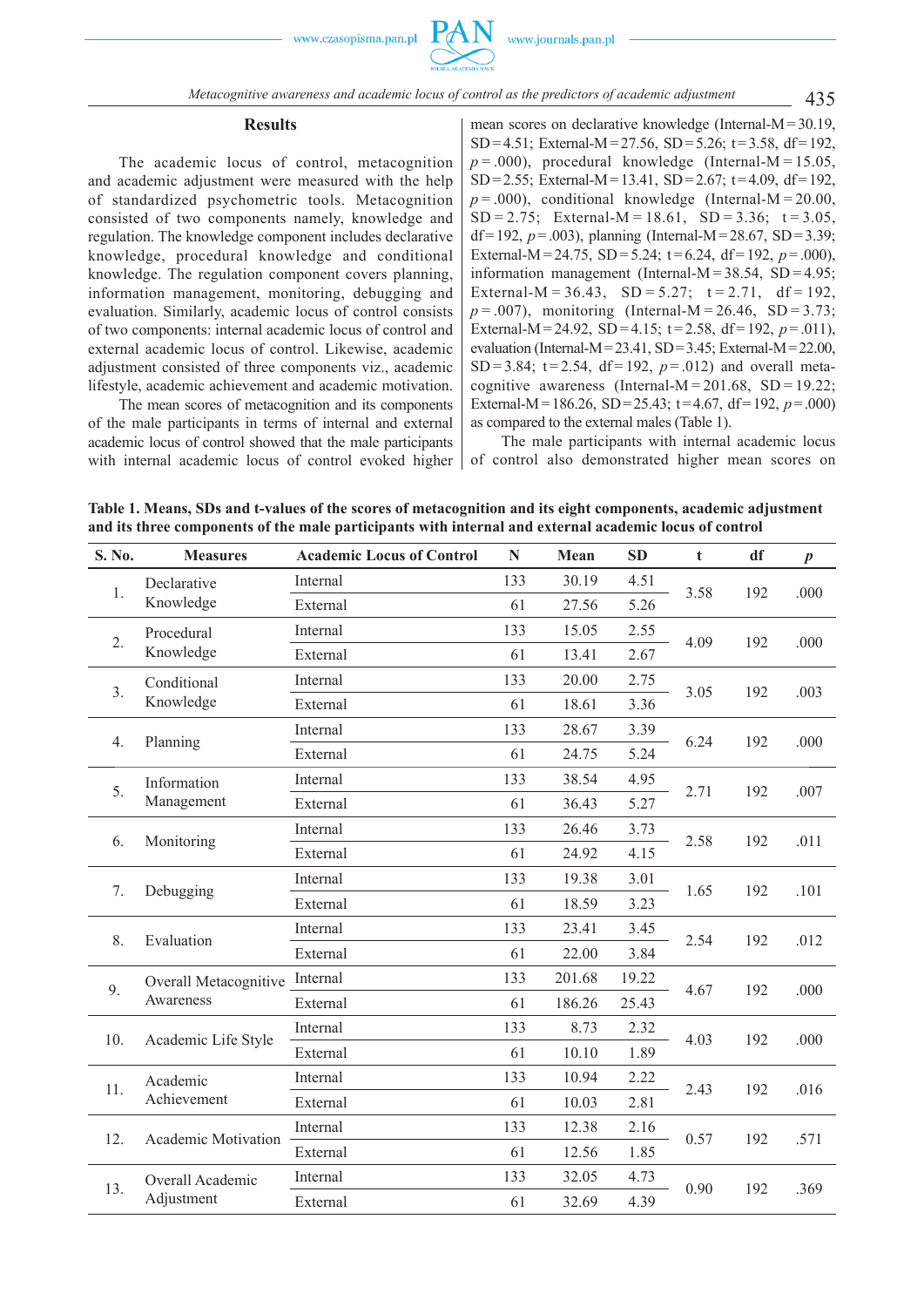#### **Results**

The academic locus of control, metacognition and academic adjustment were measured with the help of standardized psychometric tools. Metacognition consisted of two components namely, knowledge and regulation. The knowledge component includes declarative knowledge, procedural knowledge and conditional knowledge. The regulation component covers planning, information management, monitoring, debugging and evaluation. Similarly, academic locus of control consists of two components: internal academic locus of control and external academic locus of control. Likewise, academic adjustment consisted of three components viz., academic lifestyle, academic achievement and academic motivation.

The mean scores of metacognition and its components of the male participants in terms of internal and external academic locus of control showed that the male participants with internal academic locus of control evoked higher mean scores on declarative knowledge (Internal-M = 30.19, SD = 4.51; External-M = 27.56, SD = 5.26; t = 3.58, df = 192,  $p = .000$ ), procedural knowledge (Internal-M = 15.05, SD = 2.55; External-M = 13.41, SD = 2.67; t = 4.09, df = 192,  $p = .000$ ), conditional knowledge (Internal-M = 20.00,  $SD = 2.75$ ; External-M = 18.61,  $SD = 3.36$ ;  $t = 3.05$ , df = 192,  $p = .003$ ), planning (Internal-M = 28.67, SD = 3.39; External-M = 24.75, SD = 5.24;  $t = 6.24$ , df = 192,  $p = .000$ ), information management (Internal-M =  $38.54$ , SD =  $4.95$ ; External-M =  $36.43$ , SD =  $5.27$ ; t =  $2.71$ , df =  $192$ ,  $p = .007$ ), monitoring (Internal-M = 26.46, SD = 3.73; External-M = 24.92, SD = 4.15;  $t = 2.58$ , df = 192,  $p = .011$ ), evaluation (Internal-M =  $23.41$ , SD =  $3.45$ ; External-M =  $22.00$ , SD = 3.84;  $t = 2.54$ ,  $df = 192$ ,  $p = .012$ ) and overall metacognitive awareness (Internal-M =  $201.68$ , SD = 19.22; External-M = 186.26, SD = 25.43;  $t = 4.67$ , df = 192,  $p = .000$ ) as compared to the external males (Table 1).

The male participants with internal academic locus of control also demonstrated higher mean scores on

**Table 1. Means, SDs and t-values of the scores of metacognition and its eight components, academic adjustment and its three components of the male participants with internal and external academic locus of control**

| S. No.         | <b>Measures</b>                    | <b>Academic Locus of Control</b> | N   | Mean   | SD    | t    | df  | $\boldsymbol{p}$ |
|----------------|------------------------------------|----------------------------------|-----|--------|-------|------|-----|------------------|
| 1.             | Declarative<br>Knowledge           | Internal                         | 133 | 30.19  | 4.51  | 3.58 | 192 | .000             |
|                |                                    | External                         | 61  | 27.56  | 5.26  |      |     |                  |
| 2.             | Procedural<br>Knowledge            | Internal                         | 133 | 15.05  | 2.55  | 4.09 | 192 | .000             |
|                |                                    | External                         | 61  | 13.41  | 2.67  |      |     |                  |
| 3 <sub>1</sub> | Conditional<br>Knowledge           | Internal                         | 133 | 20.00  | 2.75  | 3.05 | 192 | .003             |
|                |                                    | External                         | 61  | 18.61  | 3.36  |      |     |                  |
| 4.             | Planning                           | Internal                         | 133 | 28.67  | 3.39  | 6.24 | 192 | .000             |
|                |                                    | External                         | 61  | 24.75  | 5.24  |      |     |                  |
| 5.             | Information<br>Management          | Internal                         | 133 | 38.54  | 4.95  | 2.71 | 192 | .007             |
|                |                                    | External                         | 61  | 36.43  | 5.27  |      |     |                  |
|                | Monitoring                         | Internal                         | 133 | 26.46  | 3.73  | 2.58 | 192 | .011             |
| 6.             |                                    | External                         | 61  | 24.92  | 4.15  |      |     |                  |
| 7.             | Debugging                          | Internal                         | 133 | 19.38  | 3.01  | 1.65 | 192 | .101             |
|                |                                    | External                         | 61  | 18.59  | 3.23  |      |     |                  |
| 8.             | Evaluation                         | Internal                         | 133 | 23.41  | 3.45  | 2.54 | 192 | .012             |
|                |                                    | External                         | 61  | 22.00  | 3.84  |      |     |                  |
| 9.             | Overall Metacognitive<br>Awareness | Internal                         | 133 | 201.68 | 19.22 | 4.67 | 192 | .000             |
|                |                                    | External                         | 61  | 186.26 | 25.43 |      |     |                  |
|                | Academic Life Style                | Internal                         | 133 | 8.73   | 2.32  | 4.03 | 192 | .000             |
| 10.            |                                    | External                         | 61  | 10.10  | 1.89  |      |     |                  |
| 11.            | Academic<br>Achievement            | Internal                         | 133 | 10.94  | 2.22  | 2.43 | 192 | .016             |
|                |                                    | External                         | 61  | 10.03  | 2.81  |      |     |                  |
| 12.            | Academic Motivation                | Internal                         | 133 | 12.38  | 2.16  | 0.57 | 192 | .571             |
|                |                                    | External                         | 61  | 12.56  | 1.85  |      |     |                  |
| 13.            | Overall Academic<br>Adjustment     | Internal                         | 133 | 32.05  | 4.73  | 0.90 | 192 | .369             |
|                |                                    | External                         | 61  | 32.69  | 4.39  |      |     |                  |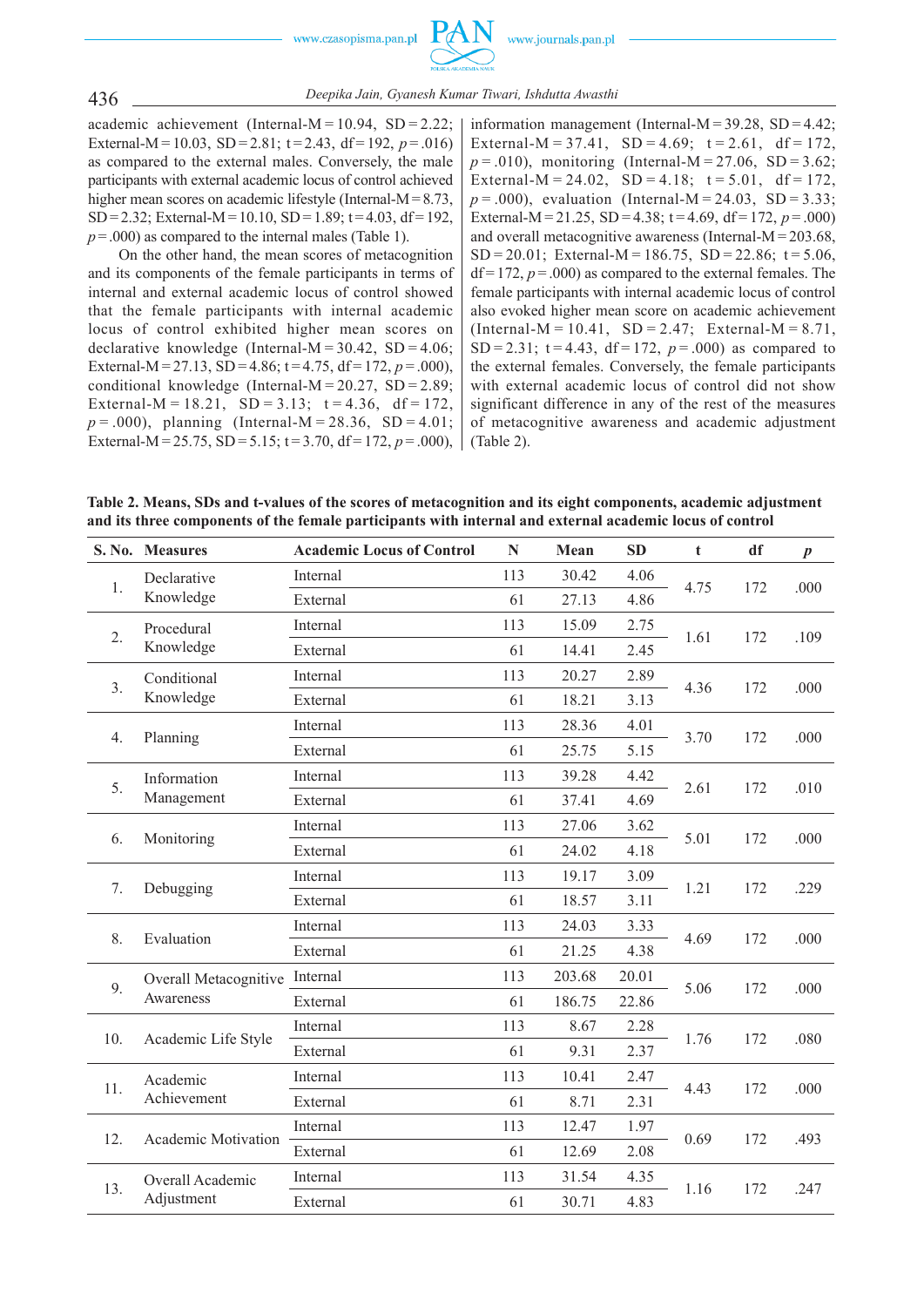



academic achievement (Internal-M =  $10.94$ , SD =  $2.22$ ; External-M = 10.03, SD = 2.81;  $t = 2.43$ , df = 192,  $p = .016$ ) as compared to the external males. Conversely, the male participants with external academic locus of control achieved higher mean scores on academic lifestyle (Internal- $M = 8.73$ , SD = 2.32; External-M = 10.10, SD = 1.89; t = 4.03, df = 192.  $p = .000$ ) as compared to the internal males (Table 1).

On the other hand, the mean scores of metacognition and its components of the female participants in terms of internal and external academic locus of control showed that the female participants with internal academic locus of control exhibited higher mean scores on declarative knowledge (Internal-M =  $30.42$ , SD =  $4.06$ ; External-M = 27.13, SD = 4.86;  $t = 4.75$ , df = 172,  $p = .000$ ). conditional knowledge (Internal-M =  $20.27$ , SD =  $2.89$ ; External-M = 18.21, SD = 3.13;  $t = 4.36$ , df = 172,  $p = .000$ , planning (Internal-M = 28.36, SD = 4.01; External-M = 25.75, SD = 5.15;  $t = 3.70$ ,  $df = 172$ ,  $p = .000$ ),

information management (Internal-M =  $39.28$ , SD =  $4.42$ ; External-M = 37.41, SD = 4.69;  $t = 2.61$ , df = 172,  $p = .010$ ), monitoring (Internal-M = 27.06, SD = 3.62; External-M = 24.02, SD = 4.18;  $t = 5.01$ , df = 172,  $p = .000$ , evaluation (Internal-M = 24.03, SD = 3.33; External-M = 21.25, SD = 4.38;  $t = 4.69$ , df = 172,  $p = .000$ ) and overall metacognitive awareness (Internal-M = 203.68,  $SD = 20.01$ ; External-M = 186.75,  $SD = 22.86$ ;  $t = 5.06$ ,  $df = 172$ ,  $p = .000$ ) as compared to the external females. The female participants with internal academic locus of control also evoked higher mean score on academic achievement  $(Internal-M = 10.41, SD = 2.47; External-M = 8.71,$ SD = 2.31;  $t = 4.43$ ,  $df = 172$ ,  $p = .000$  as compared to the external females. Conversely, the female participants with external academic locus of control did not show significant difference in any of the rest of the measures of metacognitive awareness and academic adjustment (Table 2).

**Table 2. Means, SDs and t-values of the scores of metacognition and its eight components, academic adjustment and its three components of the female participants with internal and external academic locus of control**

|                | S. No. Measures                    | <b>Academic Locus of Control</b> | N   | Mean   | <b>SD</b> | $\mathbf t$ | df  | $\boldsymbol{p}$ |
|----------------|------------------------------------|----------------------------------|-----|--------|-----------|-------------|-----|------------------|
| 1.             | Declarative<br>Knowledge           | Internal                         | 113 | 30.42  | 4.06      | 4.75        | 172 | .000             |
|                |                                    | External                         | 61  | 27.13  | 4.86      |             |     |                  |
| 2.             | Procedural<br>Knowledge            | Internal                         | 113 | 15.09  | 2.75      | 1.61        | 172 | .109             |
|                |                                    | External                         | 61  | 14.41  | 2.45      |             |     |                  |
| 3 <sub>1</sub> | Conditional<br>Knowledge           | Internal                         | 113 | 20.27  | 2.89      | 4.36        | 172 | .000             |
|                |                                    | External                         | 61  | 18.21  | 3.13      |             |     |                  |
| 4.             | Planning                           | Internal                         | 113 | 28.36  | 4.01      | 3.70        | 172 | .000             |
|                |                                    | External                         | 61  | 25.75  | 5.15      |             |     |                  |
| 5.             | Information<br>Management          | Internal                         | 113 | 39.28  | 4.42      |             | 172 | .010             |
|                |                                    | External                         | 61  | 37.41  | 4.69      | 2.61        |     |                  |
| 6.             | Monitoring                         | Internal                         | 113 | 27.06  | 3.62      | 5.01        | 172 | .000             |
|                |                                    | External                         | 61  | 24.02  | 4.18      |             |     |                  |
|                | Debugging                          | Internal                         | 113 | 19.17  | 3.09      | 1.21        | 172 | .229             |
| 7.             |                                    | External                         | 61  | 18.57  | 3.11      |             |     |                  |
|                | Evaluation                         | Internal                         | 113 | 24.03  | 3.33      | 4.69        | 172 | .000             |
| 8.             |                                    | External                         | 61  | 21.25  | 4.38      |             |     |                  |
| 9.             | Overall Metacognitive<br>Awareness | Internal                         | 113 | 203.68 | 20.01     | 5.06        | 172 | .000             |
|                |                                    | External                         | 61  | 186.75 | 22.86     |             |     |                  |
|                | Academic Life Style                | Internal                         | 113 | 8.67   | 2.28      | 1.76        | 172 | .080             |
| 10.            |                                    | External                         | 61  | 9.31   | 2.37      |             |     |                  |
| 11.            | Academic<br>Achievement            | Internal                         | 113 | 10.41  | 2.47      | 4.43        | 172 | .000             |
|                |                                    | External                         | 61  | 8.71   | 2.31      |             |     |                  |
| 12.            | Academic Motivation                | Internal                         | 113 | 12.47  | 1.97      | 0.69        | 172 | .493             |
|                |                                    | External                         | 61  | 12.69  | 2.08      |             |     |                  |
| 13.            | Overall Academic<br>Adjustment     | Internal                         | 113 | 31.54  | 4.35      | 1.16        | 172 | .247             |
|                |                                    | External                         | 61  | 30.71  | 4.83      |             |     |                  |

436 *Deepika Jain, Gyanesh Kumar Tiwari, Ishdutta Awasthi*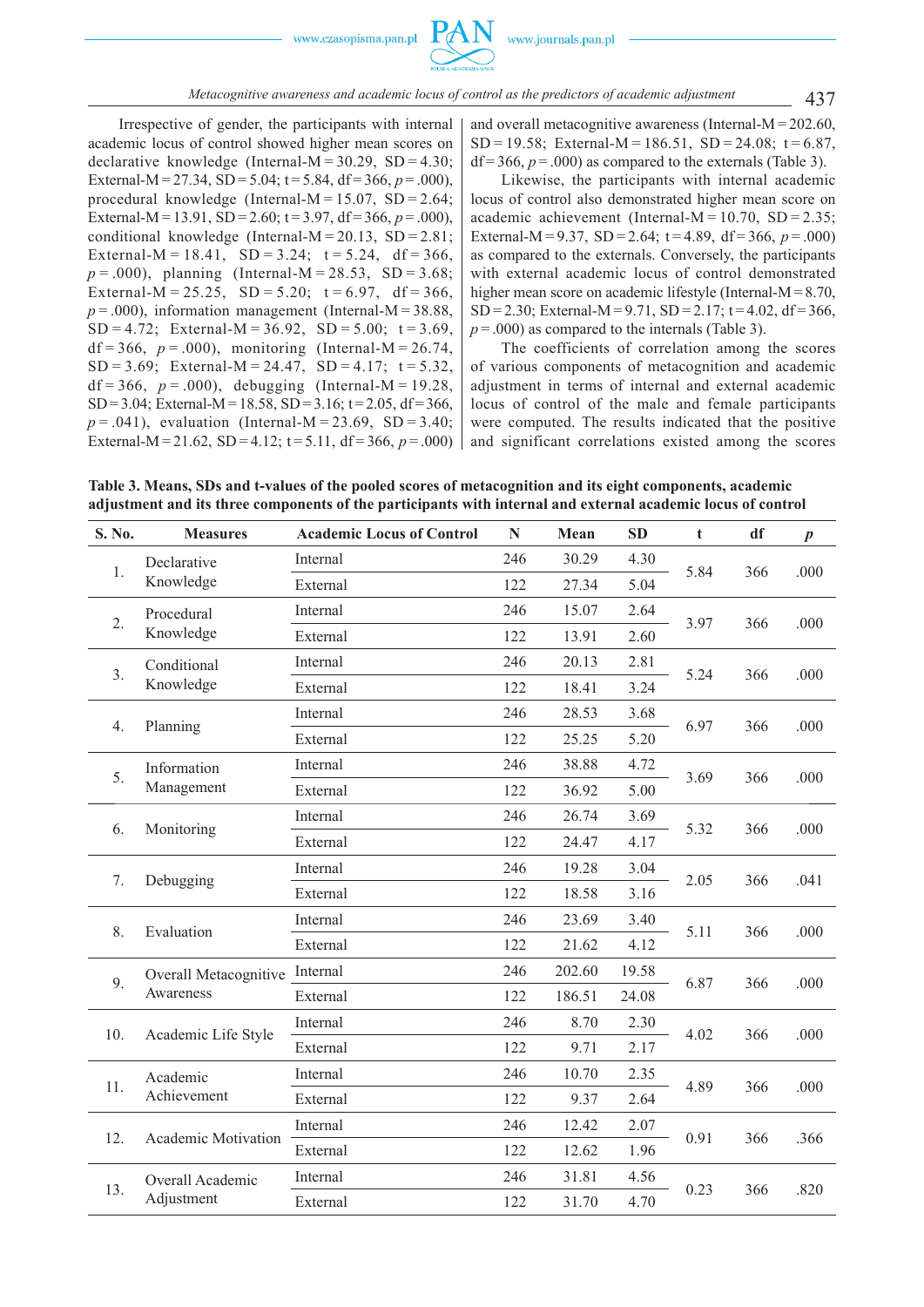

437 *Metacognitive awareness and academic locus of control as the predictors of academic adjustment*

Irrespective of gender, the participants with internal academic locus of control showed higher mean scores on declarative knowledge (Internal-M =  $30.29$ , SD =  $4.30$ ; External-M = 27.34, SD = 5.04;  $t = 5.84$ , df = 366,  $p = .000$ ), procedural knowledge (Internal-M =  $15.07$ , SD =  $2.64$ ; External-M = 13.91,  $SD = 2.60$ ;  $t = 3.97$ ,  $df = 366$ ,  $p = .000$ ). conditional knowledge (Internal- $M = 20.13$ , SD = 2.81; External-M = 18.41, SD = 3.24;  $t = 5.24$ , df = 366,  $p = .000$ , planning (Internal-M = 28.53, SD = 3.68; External-M = 25.25, SD = 5.20;  $t = 6.97$ , df = 366,  $p = .000$ ), information management (Internal-M = 38.88, SD = 4.72; External-M =  $36.92$ , SD =  $5.00$ ; t =  $3.69$ , df = 366,  $p = .000$ ), monitoring (Internal-M = 26.74, SD = 3.69; External-M = 24.47, SD = 4.17;  $t = 5.32$ , df = 366,  $p = .000$ ), debugging (Internal-M = 19.28,  $SD = 3.04$ : External-M = 18.58, SD = 3.16; t = 2.05, df = 366.  $p = .041$ ), evaluation (Internal-M = 23.69, SD = 3.40; External-M = 21.62, SD = 4.12;  $t = 5.11$ ,  $df = 366$ ,  $p = .000$ ) and overall metacognitive awareness (Internal-M = 202.60, SD = 19.58; External-M = 186.51, SD = 24.08;  $t = 6.87$ ,  $df = 366$ ,  $p = .000$ ) as compared to the externals (Table 3).

Likewise, the participants with internal academic locus of control also demonstrated higher mean score on academic achievement (Internal-M =  $10.70$ , SD =  $2.35$ ; External-M = 9.37, SD = 2.64;  $t = 4.89$ ,  $df = 366$ ,  $p = .000$ ) as compared to the externals. Conversely, the participants with external academic locus of control demonstrated higher mean score on academic lifestyle (Internal-M = 8.70, SD = 2.30; External-M = 9.71, SD = 2.17;  $t = 4.02$ , df = 366,  $p = .000$ ) as compared to the internals (Table 3).

The coefficients of correlation among the scores of various components of metacognition and academic adjustment in terms of internal and external academic locus of control of the male and female participants were computed. The results indicated that the positive and significant correlations existed among the scores

**Table 3. Means, SDs and t-values of the pooled scores of metacognition and its eight components, academic adjustment and its three components of the participants with internal and external academic locus of control**

| S. No. | <b>Measures</b>                    | <b>Academic Locus of Control</b> | N   | Mean   | <b>SD</b> | t    | df  | $\boldsymbol{p}$ |
|--------|------------------------------------|----------------------------------|-----|--------|-----------|------|-----|------------------|
| 1.     | Declarative<br>Knowledge           | Internal                         | 246 | 30.29  | 4.30      | 5.84 | 366 | .000             |
|        |                                    | External                         | 122 | 27.34  | 5.04      |      |     |                  |
| 2.     | Procedural<br>Knowledge            | Internal                         | 246 | 15.07  | 2.64      | 3.97 | 366 | .000             |
|        |                                    | External                         | 122 | 13.91  | 2.60      |      |     |                  |
| 3.     | Conditional<br>Knowledge           | Internal                         | 246 | 20.13  | 2.81      | 5.24 | 366 | .000             |
|        |                                    | External                         | 122 | 18.41  | 3.24      |      |     |                  |
| 4.     | Planning                           | Internal                         | 246 | 28.53  | 3.68      | 6.97 | 366 | .000             |
|        |                                    | External                         | 122 | 25.25  | 5.20      |      |     |                  |
| 5.     | Information<br>Management          | Internal                         | 246 | 38.88  | 4.72      | 3.69 | 366 | .000             |
|        |                                    | External                         | 122 | 36.92  | 5.00      |      |     |                  |
| 6.     | Monitoring                         | Internal                         | 246 | 26.74  | 3.69      | 5.32 | 366 | .000             |
|        |                                    | External                         | 122 | 24.47  | 4.17      |      |     |                  |
| 7.     | Debugging                          | Internal                         | 246 | 19.28  | 3.04      | 2.05 | 366 | .041             |
|        |                                    | External                         | 122 | 18.58  | 3.16      |      |     |                  |
| 8.     | Evaluation                         | Internal                         | 246 | 23.69  | 3.40      | 5.11 | 366 | .000             |
|        |                                    | External                         | 122 | 21.62  | 4.12      |      |     |                  |
| 9.     | Overall Metacognitive<br>Awareness | Internal                         | 246 | 202.60 | 19.58     | 6.87 | 366 | .000             |
|        |                                    | External                         | 122 | 186.51 | 24.08     |      |     |                  |
|        | Academic Life Style                | Internal                         | 246 | 8.70   | 2.30      | 4.02 | 366 | .000             |
| 10.    |                                    | External                         | 122 | 9.71   | 2.17      |      |     |                  |
| 11.    | Academic<br>Achievement            | Internal                         | 246 | 10.70  | 2.35      | 4.89 | 366 | .000             |
|        |                                    | External                         | 122 | 9.37   | 2.64      |      |     |                  |
| 12.    | Academic Motivation                | Internal                         | 246 | 12.42  | 2.07      | 0.91 | 366 | .366             |
|        |                                    | External                         | 122 | 12.62  | 1.96      |      |     |                  |
| 13.    | Overall Academic<br>Adjustment     | Internal                         | 246 | 31.81  | 4.56      | 0.23 | 366 | .820             |
|        |                                    | External                         | 122 | 31.70  | 4.70      |      |     |                  |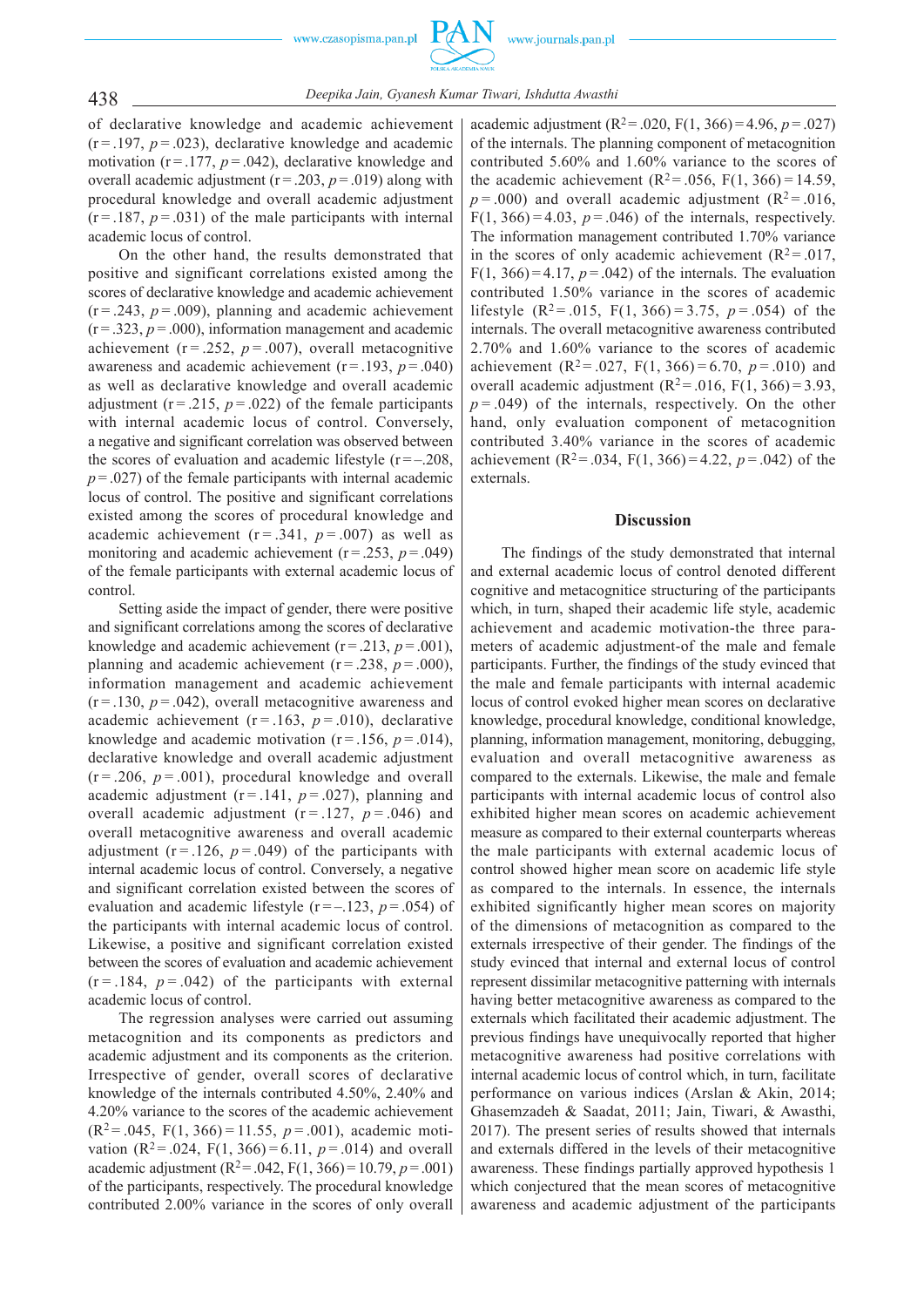

438 *Deepika Jain, Gyanesh Kumar Tiwari, Ishdutta Awasthi*

of declarative knowledge and academic achievement  $(r = .197, p = .023)$ , declarative knowledge and academic motivation  $(r = .177, p = .042)$ , declarative knowledge and overall academic adjustment ( $r = .203$ ,  $p = .019$ ) along with procedural knowledge and overall academic adjustment  $(r = 187, p = 0.031)$  of the male participants with internal academic locus of control.

On the other hand, the results demonstrated that positive and significant correlations existed among the scores of declarative knowledge and academic achievement  $(r = .243, p = .009)$ , planning and academic achievement  $(r = .323, p = .000)$ , information management and academic achievement  $(r = .252, p = .007)$ , overall metacognitive awareness and academic achievement  $(r = .193, p = .040)$ as well as declarative knowledge and overall academic adjustment ( $r = .215$ ,  $p = .022$ ) of the female participants with internal academic locus of control. Conversely, a negative and significant correlation was observed between the scores of evaluation and academic lifestyle  $(r = -208$ ,  $p = 0.027$  of the female participants with internal academic locus of control. The positive and significant correlations existed among the scores of procedural knowledge and academic achievement  $(r = .341, p = .007)$  as well as monitoring and academic achievement  $(r = .253, p = .049)$ of the female participants with external academic locus of control.

Setting aside the impact of gender, there were positive and significant correlations among the scores of declarative knowledge and academic achievement  $(r = .213, p = .001)$ , planning and academic achievement ( $r = .238$ ,  $p = .000$ ), information management and academic achievement  $(r = .130, p = .042)$ , overall metacognitive awareness and academic achievement ( $r = .163$ ,  $p = .010$ ), declarative knowledge and academic motivation  $(r = .156, p = .014)$ , declarative knowledge and overall academic adjustment  $(r = .206, p = .001)$ , procedural knowledge and overall academic adjustment  $(r = .141, p = .027)$ , planning and overall academic adjustment  $(r = .127, p = .046)$  and overall metacognitive awareness and overall academic adjustment  $(r = .126, p = .049)$  of the participants with internal academic locus of control. Conversely, a negative and significant correlation existed between the scores of evaluation and academic lifestyle  $(r = -123, p = .054)$  of the participants with internal academic locus of control. Likewise, a positive and significant correlation existed between the scores of evaluation and academic achievement  $(r = .184, p = .042)$  of the participants with external academic locus of control.

The regression analyses were carried out assuming metacognition and its components as predictors and academic adjustment and its components as the criterion. Irrespective of gender, overall scores of declarative knowledge of the internals contributed 4.50%, 2.40% and 4.20% variance to the scores of the academic achievement  $(R<sup>2</sup>=.045, F(1, 366)=11.55, p=.001)$ , academic motivation  $(R^2 = .024, F(1, 366) = 6.11, p = .014)$  and overall academic adjustment ( $R^2 = .042$ ,  $F(1, 366) = 10.79$ ,  $p = .001$ ) of the participants, respectively. The procedural knowledge contributed 2.00% variance in the scores of only overall

academic adjustment  $(R^2 = .020, F(1, 366) = 4.96, p = .027)$ of the internals. The planning component of metacognition contributed 5.60% and 1.60% variance to the scores of the academic achievement ( $R^2 = .056$ ,  $F(1, 366) = 14.59$ ,  $p = .000$ ) and overall academic adjustment ( $R^2 = .016$ ,  $F(1, 366) = 4.03$ ,  $p = .046$ ) of the internals, respectively. The information management contributed 1.70% variance in the scores of only academic achievement  $(R^2 = .017,$ F(1, 366) = 4.17,  $p = .042$ ) of the internals. The evaluation contributed 1.50% variance in the scores of academic lifestyle  $(R^2 = .015, F(1, 366) = 3.75, p = .054)$  of the internals. The overall metacognitive awareness contributed 2.70% and 1.60% variance to the scores of academic achievement  $(R^2 = .027, F(1, 366) = 6.70, p = .010)$  and overall academic adjustment  $(R^2 = .016, F(1, 366) = 3.93,$  $p = .049$ ) of the internals, respectively. On the other hand, only evaluation component of metacognition contributed 3.40% variance in the scores of academic achievement (R<sup>2</sup>= .034, F(1, 366) = 4.22,  $p = .042$ ) of the externals.

# **Discussion**

The findings of the study demonstrated that internal and external academic locus of control denoted different cognitive and metacognitice structuring of the participants which, in turn, shaped their academic life style, academic achievement and academic motivation-the three parameters of academic adjustment-of the male and female participants. Further, the findings of the study evinced that the male and female participants with internal academic locus of control evoked higher mean scores on declarative knowledge, procedural knowledge, conditional knowledge, planning, information management, monitoring, debugging, evaluation and overall metacognitive awareness as compared to the externals. Likewise, the male and female participants with internal academic locus of control also exhibited higher mean scores on academic achievement measure as compared to their external counterparts whereas the male participants with external academic locus of control showed higher mean score on academic life style as compared to the internals. In essence, the internals exhibited significantly higher mean scores on majority of the dimensions of metacognition as compared to the externals irrespective of their gender. The findings of the study evinced that internal and external locus of control represent dissimilar metacognitive patterning with internals having better metacognitive awareness as compared to the externals which facilitated their academic adjustment. The previous findings have unequivocally reported that higher metacognitive awareness had positive correlations with internal academic locus of control which, in turn, facilitate performance on various indices (Arslan & Akin, 2014; Ghasemzadeh & Saadat, 2011; Jain, Tiwari, & Awasthi, 2017). The present series of results showed that internals and externals differed in the levels of their metacognitive awareness. These findings partially approved hypothesis 1 which conjectured that the mean scores of metacognitive awareness and academic adjustment of the participants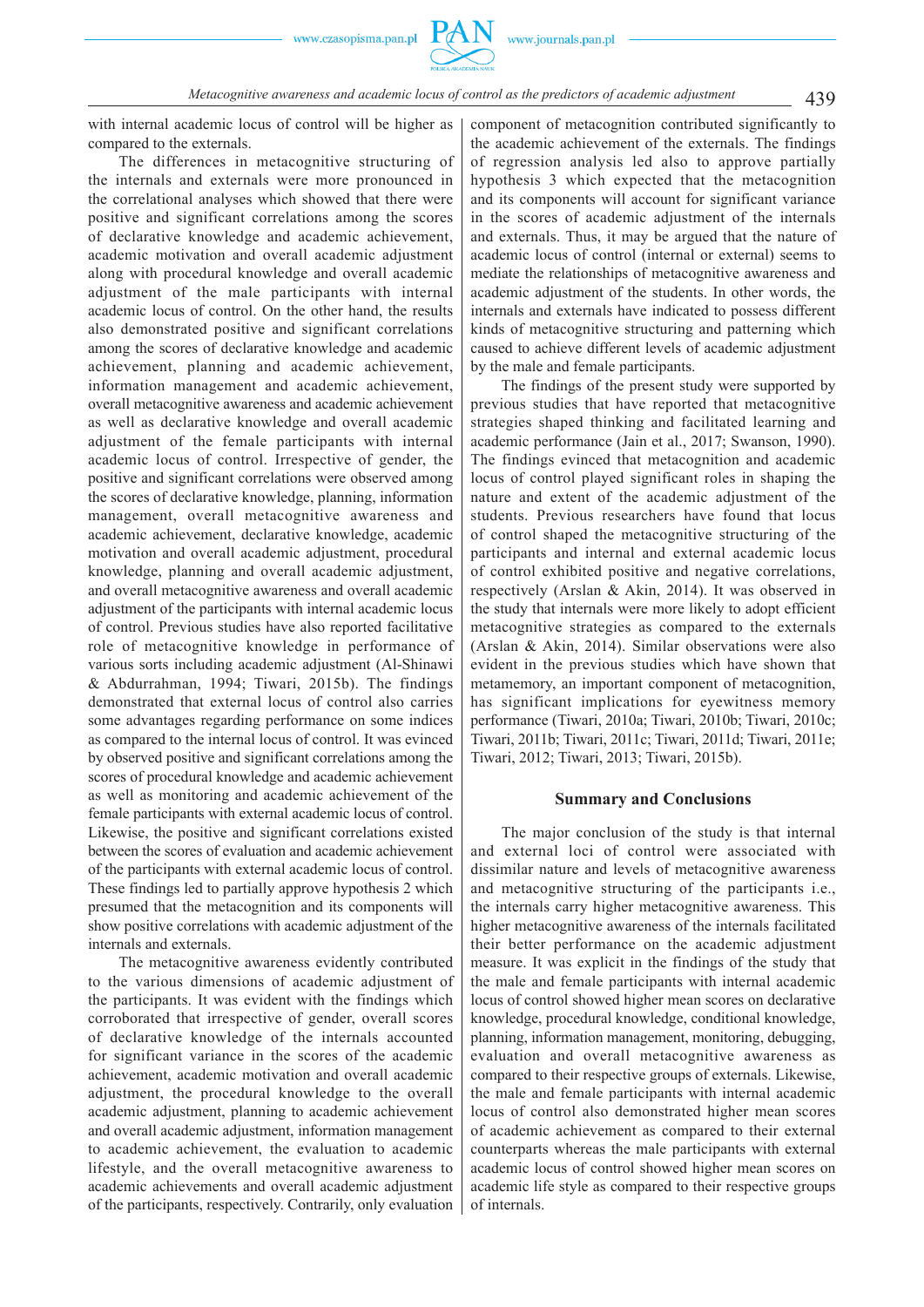

# 439 *Metacognitive awareness and academic locus of control as the predictors of academic adjustment*

with internal academic locus of control will be higher as compared to the externals.

The differences in metacognitive structuring of the internals and externals were more pronounced in the correlational analyses which showed that there were positive and significant correlations among the scores of declarative knowledge and academic achievement, academic motivation and overall academic adjustment along with procedural knowledge and overall academic adjustment of the male participants with internal academic locus of control. On the other hand, the results also demonstrated positive and significant correlations among the scores of declarative knowledge and academic achievement, planning and academic achievement, information management and academic achievement, overall metacognitive awareness and academic achievement as well as declarative knowledge and overall academic adjustment of the female participants with internal academic locus of control. Irrespective of gender, the positive and significant correlations were observed among the scores of declarative knowledge, planning, information management, overall metacognitive awareness and academic achievement, declarative knowledge, academic motivation and overall academic adjustment, procedural knowledge, planning and overall academic adjustment, and overall metacognitive awareness and overall academic adjustment of the participants with internal academic locus of control. Previous studies have also reported facilitative role of metacognitive knowledge in performance of various sorts including academic adjustment (Al-Shinawi & Abdurrahman, 1994; Tiwari, 2015b). The findings demonstrated that external locus of control also carries some advantages regarding performance on some indices as compared to the internal locus of control. It was evinced by observed positive and significant correlations among the scores of procedural knowledge and academic achievement as well as monitoring and academic achievement of the female participants with external academic locus of control. Likewise, the positive and significant correlations existed between the scores of evaluation and academic achievement of the participants with external academic locus of control. These findings led to partially approve hypothesis 2 which presumed that the metacognition and its components will show positive correlations with academic adjustment of the internals and externals.

The metacognitive awareness evidently contributed to the various dimensions of academic adjustment of the participants. It was evident with the findings which corroborated that irrespective of gender, overall scores of declarative knowledge of the internals accounted for significant variance in the scores of the academic achievement, academic motivation and overall academic adjustment, the procedural knowledge to the overall academic adjustment, planning to academic achievement and overall academic adjustment, information management to academic achievement, the evaluation to academic lifestyle, and the overall metacognitive awareness to academic achievements and overall academic adjustment of the participants, respectively. Contrarily, only evaluation component of metacognition contributed significantly to the academic achievement of the externals. The findings of regression analysis led also to approve partially hypothesis 3 which expected that the metacognition and its components will account for significant variance in the scores of academic adjustment of the internals and externals. Thus, it may be argued that the nature of academic locus of control (internal or external) seems to mediate the relationships of metacognitive awareness and academic adjustment of the students. In other words, the internals and externals have indicated to possess different kinds of metacognitive structuring and patterning which caused to achieve different levels of academic adjustment by the male and female participants.

The findings of the present study were supported by previous studies that have reported that metacognitive strategies shaped thinking and facilitated learning and academic performance (Jain et al., 2017; Swanson, 1990). The findings evinced that metacognition and academic locus of control played significant roles in shaping the nature and extent of the academic adjustment of the students. Previous researchers have found that locus of control shaped the metacognitive structuring of the participants and internal and external academic locus of control exhibited positive and negative correlations, respectively (Arslan & Akin, 2014). It was observed in the study that internals were more likely to adopt efficient metacognitive strategies as compared to the externals (Arslan & Akin, 2014). Similar observations were also evident in the previous studies which have shown that metamemory, an important component of metacognition, has significant implications for eyewitness memory performance (Tiwari, 2010a; Tiwari, 2010b; Tiwari, 2010c; Tiwari, 2011b; Tiwari, 2011c; Tiwari, 2011d; Tiwari, 2011e; Tiwari, 2012; Tiwari, 2013; Tiwari, 2015b).

#### **Summary and Conclusions**

The major conclusion of the study is that internal and external loci of control were associated with dissimilar nature and levels of metacognitive awareness and metacognitive structuring of the participants i.e., the internals carry higher metacognitive awareness. This higher metacognitive awareness of the internals facilitated their better performance on the academic adjustment measure. It was explicit in the findings of the study that the male and female participants with internal academic locus of control showed higher mean scores on declarative knowledge, procedural knowledge, conditional knowledge, planning, information management, monitoring, debugging, evaluation and overall metacognitive awareness as compared to their respective groups of externals. Likewise, the male and female participants with internal academic locus of control also demonstrated higher mean scores of academic achievement as compared to their external counterparts whereas the male participants with external academic locus of control showed higher mean scores on academic life style as compared to their respective groups of internals.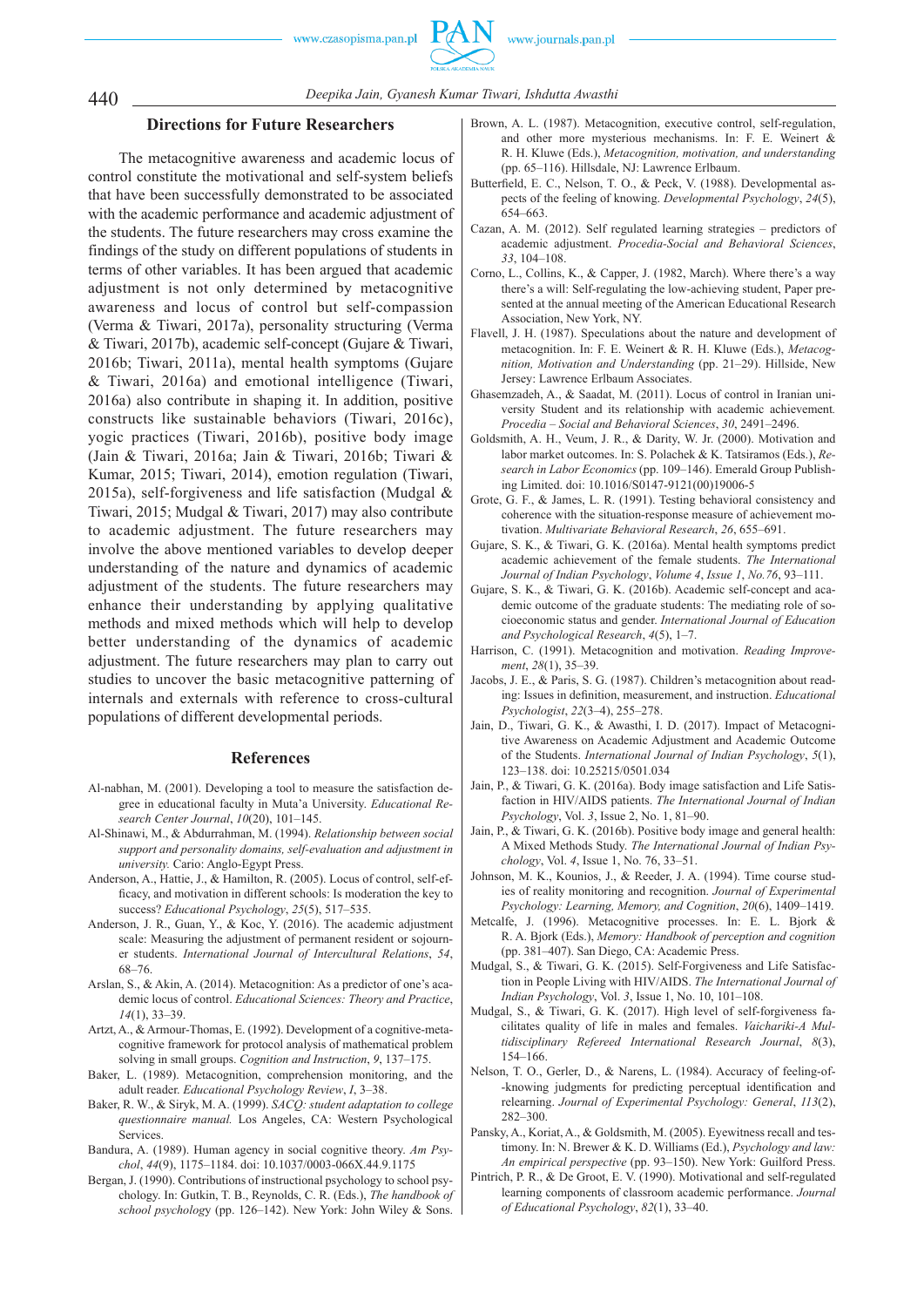

440 *Deepika Jain, Gyanesh Kumar Tiwari, Ishdutta Awasthi*

# **Directions for Future Researchers**

The metacognitive awareness and academic locus of control constitute the motivational and self-system beliefs that have been successfully demonstrated to be associated with the academic performance and academic adjustment of the students. The future researchers may cross examine the findings of the study on different populations of students in terms of other variables. It has been argued that academic adjustment is not only determined by metacognitive awareness and locus of control but self-compassion (Verma & Tiwari, 2017a), personality structuring (Verma & Tiwari, 2017b), academic self-concept (Gujare & Tiwari, 2016b; Tiwari, 2011a), mental health symptoms (Gujare & Tiwari, 2016a) and emotional intelligence (Tiwari, 2016a) also contribute in shaping it. In addition, positive constructs like sustainable behaviors (Tiwari, 2016c), yogic practices (Tiwari, 2016b), positive body image (Jain & Tiwari, 2016a; Jain & Tiwari, 2016b; Tiwari & Kumar, 2015; Tiwari, 2014), emotion regulation (Tiwari, 2015a), self-forgiveness and life satisfaction (Mudgal & Tiwari, 2015; Mudgal & Tiwari, 2017) may also contribute to academic adjustment. The future researchers may involve the above mentioned variables to develop deeper understanding of the nature and dynamics of academic adjustment of the students. The future researchers may enhance their understanding by applying qualitative methods and mixed methods which will help to develop better understanding of the dynamics of academic adjustment. The future researchers may plan to carry out studies to uncover the basic metacognitive patterning of internals and externals with reference to cross-cultural populations of different developmental periods.

#### **References**

- Al-nabhan, M. (2001). Developing a tool to measure the satisfaction degree in educational faculty in Muta'a University. *Educational Research Center Journal*, *10*(20), 101–145.
- Al-Shinawi, M., & Abdurrahman, M. (1994). *Relationship between social support and personality domains, self-evaluation and adjustment in university.* Cario: Anglo-Egypt Press.
- Anderson, A., Hattie, J., & Hamilton, R. (2005). Locus of control, self-efficacy, and motivation in different schools: Is moderation the key to success? *Educational Psychology*, *25*(5), 517–535.
- Anderson, J. R., Guan, Y., & Koc, Y. (2016). The academic adjustment scale: Measuring the adjustment of permanent resident or sojourner students. *International Journal of Intercultural Relations*, *54*, 68–76.
- Arslan, S., & Akin, A. (2014). Metacognition: As a predictor of one's academic locus of control. *Educational Sciences: Theory and Practice*, *14*(1), 33–39.
- Artzt, A., & Armour-Thomas, E. (1992). Development of a cognitive-metacognitive framework for protocol analysis of mathematical problem solving in small groups. *Cognition and Instruction*, *9*, 137–175.
- Baker, L. (1989). Metacognition, comprehension monitoring, and the adult reader. *Educational Psychology Review*, *I*, 3–38.
- Baker, R. W., & Siryk, M. A. (1999). *SACQ: student adaptation to college questionnaire manual.* Los Angeles, CA: Western Psychological Services.
- Bandura, A. (1989). Human agency in social cognitive theory. *Am Psychol*, *44*(9), 1175–1184. doi: 10.1037/0003-066X.44.9.1175
- Bergan, J. (1990). Contributions of instructional psychology to school psychology. In: Gutkin, T. B., Reynolds, C. R. (Eds.), *The handbook of school psycholog*y (pp. 126–142). New York: John Wiley & Sons.
- Brown, A. L. (1987). Metacognition, executive control, self-regulation, and other more mysterious mechanisms. In: F. E. Weinert & R. H. Kluwe (Eds.), *Metacognition, motivation, and understanding* (pp. 65–116). Hillsdale, NJ: Lawrence Erlbaum.
- Butterfield, E. C., Nelson, T. O., & Peck, V. (1988). Developmental aspects of the feeling of knowing. *Developmental Psychology*, *24*(5), 654–663.
- Cazan, A. M. (2012). Self regulated learning strategies predictors of academic adjustment. *Procedia-Social and Behavioral Sciences*, *33*, 104–108.
- Corno, L., Collins, K., & Capper, J. (1982, March). Where there's a way there's a will: Self-regulating the low-achieving student, Paper presented at the annual meeting of the American Educational Research Association, New York, NY.
- Flavell, J. H. (1987). Speculations about the nature and development of metacognition. In: F. E. Weinert & R. H. Kluwe (Eds.), *Metacognition, Motivation and Understanding* (pp. 21–29). Hillside, New Jersey: Lawrence Erlbaum Associates.
- Ghasemzadeh, A., & Saadat, M. (2011). Locus of control in Iranian university Student and its relationship with academic achievement*. Procedia – Social and Behavioral Sciences*, *30*, 2491–2496.
- Goldsmith, A. H., Veum, J. R., & Darity, W. Jr. (2000). Motivation and labor market outcomes. In: S. Polachek & K. Tatsiramos (Eds.), *Research in Labor Economics* (pp. 109–146). Emerald Group Publishing Limited. doi: 10.1016/S0147-9121(00)19006-5
- Grote, G. F., & James, L. R. (1991). Testing behavioral consistency and coherence with the situation-response measure of achievement motivation. *Multivariate Behavioral Research*, *26*, 655–691.
- Gujare, S. K., & Tiwari, G. K. (2016a). Mental health symptoms predict academic achievement of the female students. *The International Journal of Indian Psychology*, *Volume 4*, *Issue 1*, *No.76*, 93–111.
- Gujare, S. K., & Tiwari, G. K. (2016b). Academic self-concept and academic outcome of the graduate students: The mediating role of socioeconomic status and gender. *International Journal of Education and Psychological Research*, *4*(5), 1–7.
- Harrison, C. (1991). Metacognition and motivation. *Reading Improvement*, *28*(1), 35–39.
- Jacobs, J. E., & Paris, S. G. (1987). Children's metacognition about reading: Issues in definition, measurement, and instruction. *Educational Psychologist*, *22*(3–4), 255–278.
- Jain, D., Tiwari, G. K., & Awasthi, I. D. (2017). Impact of Metacognitive Awareness on Academic Adjustment and Academic Outcome of the Students. *International Journal of Indian Psychology*, *5*(1), 123–138. doi: 10.25215/0501.034
- Jain, P., & Tiwari, G. K. (2016a). Body image satisfaction and Life Satisfaction in HIV/AIDS patients. *The International Journal of Indian Psychology*, Vol. *3*, Issue 2, No. 1, 81–90.
- Jain, P., & Tiwari, G. K. (2016b). Positive body image and general health: A Mixed Methods Study. *The International Journal of Indian Psychology*, Vol. *4*, Issue 1, No. 76, 33–51.
- Johnson, M. K., Kounios, J., & Reeder, J. A. (1994). Time course studies of reality monitoring and recognition. *Journal of Experimental Psychology: Learning, Memory, and Cognition*, *20*(6), 1409–1419.
- Metcalfe, J. (1996). Metacognitive processes. In: E. L. Bjork & R. A. Bjork (Eds.), *Memory: Handbook of perception and cognition* (pp. 381–407). San Diego, CA: Academic Press.
- Mudgal, S., & Tiwari, G. K. (2015). Self-Forgiveness and Life Satisfaction in People Living with HIV/AIDS. *The International Journal of Indian Psychology*, Vol. *3*, Issue 1, No. 10, 101–108.
- Mudgal, S., & Tiwari, G. K. (2017). High level of self-forgiveness facilitates quality of life in males and females. *Vaichariki-A Multidisciplinary Refereed International Research Journal*, *8*(3), 154–166.
- Nelson, T. O., Gerler, D., & Narens, L. (1984). Accuracy of feeling-of- -knowing judgments for predicting perceptual identification and relearning. *Journal of Experimental Psychology: General*, *113*(2), 282–300.
- Pansky, A., Koriat, A., & Goldsmith, M. (2005). Eyewitness recall and testimony. In: N. Brewer & K. D. Williams (Ed.), *Psychology and law: An empirical perspective* (pp. 93–150). New York: Guilford Press.
- Pintrich, P. R., & De Groot, E. V. (1990). Motivational and self-regulated learning components of classroom academic performance. *Journal of Educational Psychology*, *82*(1), 33–40.